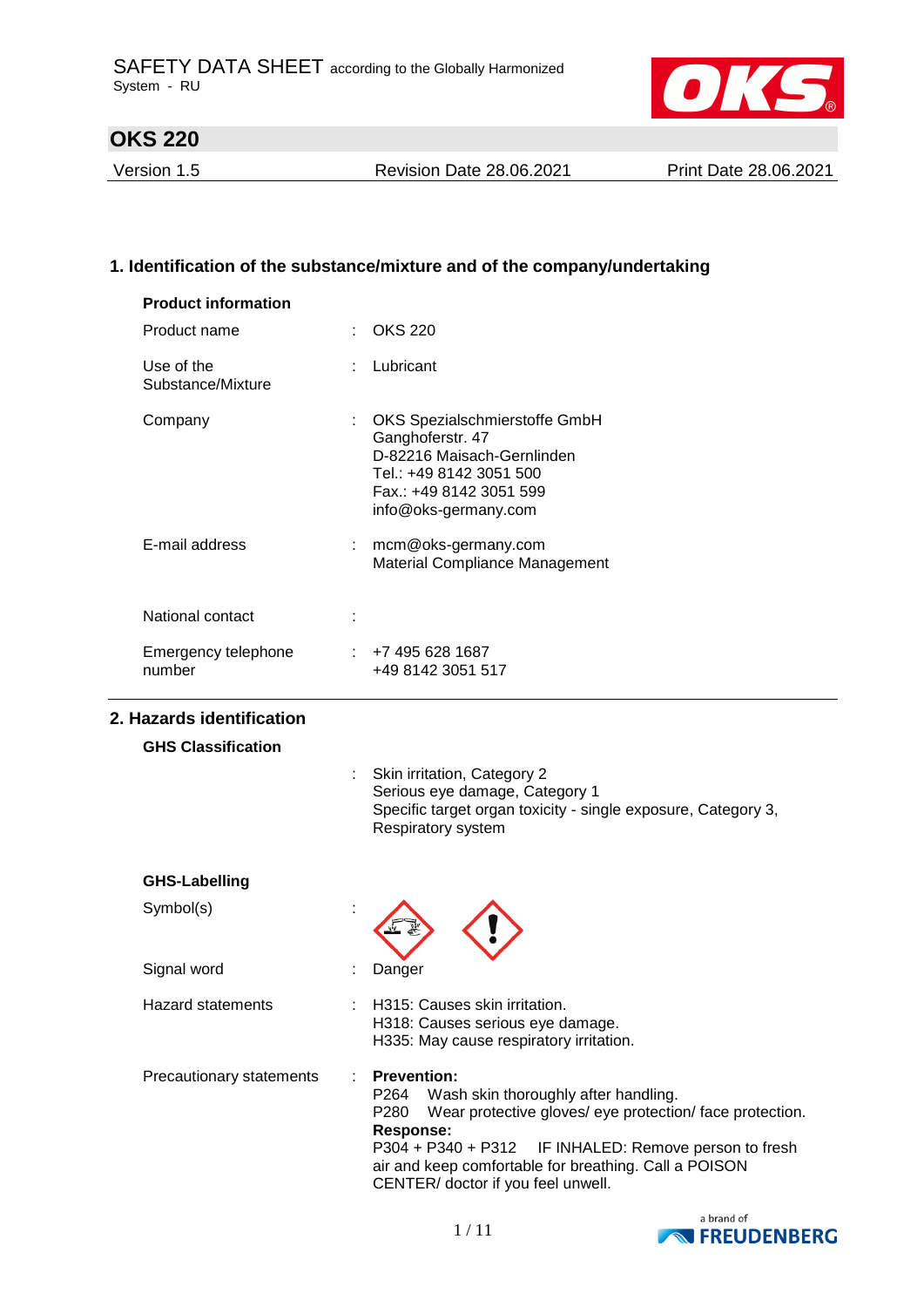

Version 1.5 Revision Date 28.06.2021 Print Date 28.06.2021

# **1. Identification of the substance/mixture and of the company/undertaking**

| <b>Product information</b>      |                                                                                                                                                                                                                                                                                                                                   |
|---------------------------------|-----------------------------------------------------------------------------------------------------------------------------------------------------------------------------------------------------------------------------------------------------------------------------------------------------------------------------------|
| Product name                    | <b>OKS 220</b>                                                                                                                                                                                                                                                                                                                    |
| Use of the<br>Substance/Mixture | Lubricant                                                                                                                                                                                                                                                                                                                         |
| Company                         | OKS Spezialschmierstoffe GmbH<br>Ganghoferstr. 47<br>D-82216 Maisach-Gernlinden<br>Tel.: +49 8142 3051 500<br>Fax.: +49 8142 3051 599<br>info@oks-germany.com                                                                                                                                                                     |
| E-mail address                  | mcm@oks-germany.com<br>Material Compliance Management                                                                                                                                                                                                                                                                             |
| National contact                |                                                                                                                                                                                                                                                                                                                                   |
| Emergency telephone<br>number   | $\div$ +7 495 628 1687<br>+49 8142 3051 517                                                                                                                                                                                                                                                                                       |
| 2. Hazards identification       |                                                                                                                                                                                                                                                                                                                                   |
| <b>GHS Classification</b>       |                                                                                                                                                                                                                                                                                                                                   |
|                                 | Skin irritation, Category 2<br>Serious eye damage, Category 1<br>Specific target organ toxicity - single exposure, Category 3,<br>Respiratory system                                                                                                                                                                              |
| <b>GHS-Labelling</b>            |                                                                                                                                                                                                                                                                                                                                   |
| Symbol(s)                       |                                                                                                                                                                                                                                                                                                                                   |
| Signal word                     | Danger                                                                                                                                                                                                                                                                                                                            |
| <b>Hazard statements</b>        | H315: Causes skin irritation.<br>H318: Causes serious eye damage.<br>H335: May cause respiratory irritation.                                                                                                                                                                                                                      |
| Precautionary statements        | <b>Prevention:</b><br>P <sub>264</sub><br>Wash skin thoroughly after handling.<br>Wear protective gloves/ eye protection/ face protection.<br>P280<br><b>Response:</b><br>P304 + P340 + P312<br>IF INHALED: Remove person to fresh<br>air and keep comfortable for breathing. Call a POISON<br>CENTER/ doctor if you feel unwell. |

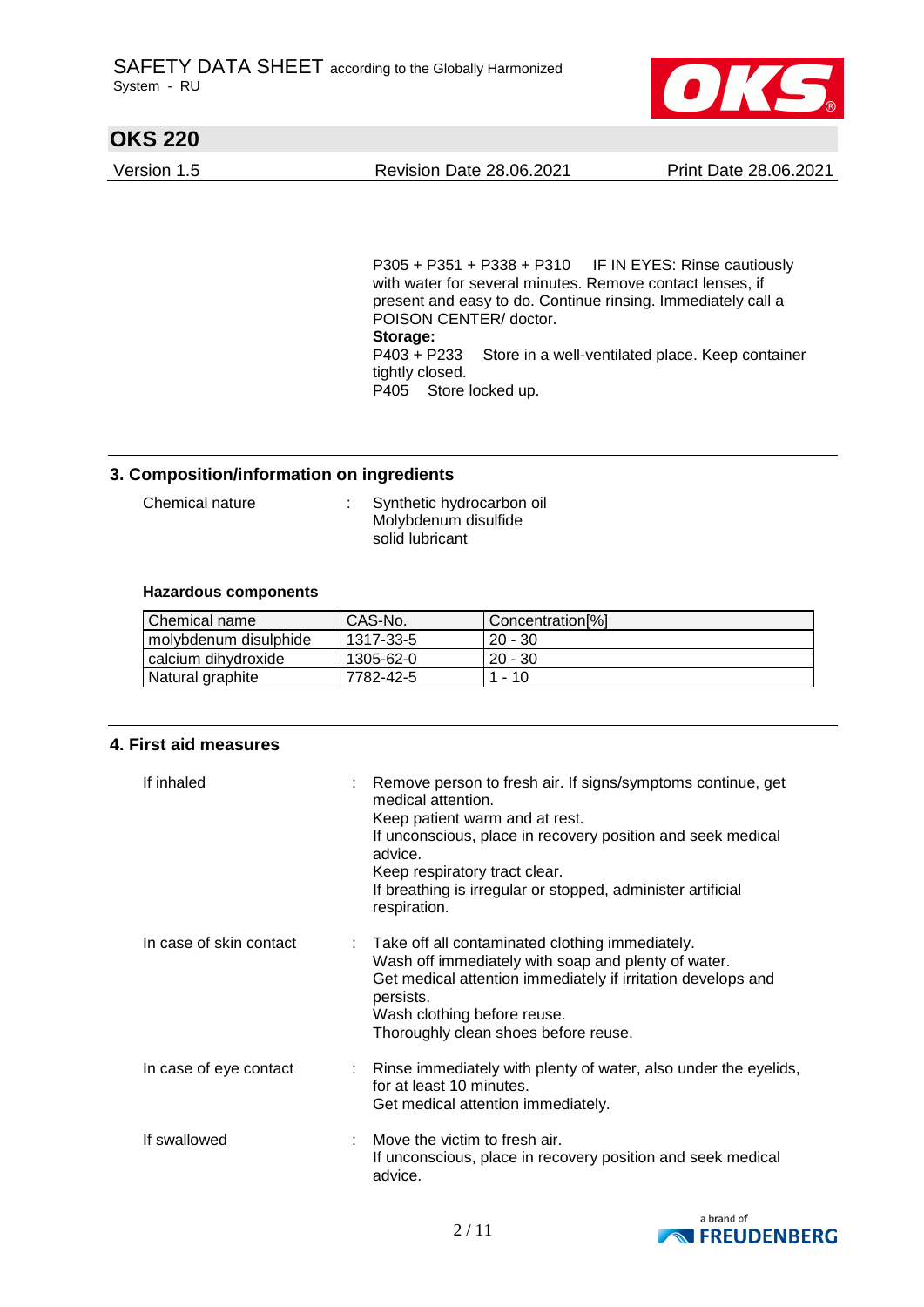

Version 1.5 Revision Date 28.06.2021 Print Date 28.06.2021

P305 + P351 + P338 + P310 IF IN EYES: Rinse cautiously with water for several minutes. Remove contact lenses, if present and easy to do. Continue rinsing. Immediately call a POISON CENTER/ doctor. **Storage:**  P403 + P233 Store in a well-ventilated place. Keep container tightly closed. P405 Store locked up.

#### **3. Composition/information on ingredients**

Chemical nature : Synthetic hydrocarbon oil Molybdenum disulfide solid lubricant

#### **Hazardous components**

| Chemical name         | CAS-No.   | Concentration[%] |
|-----------------------|-----------|------------------|
| molybdenum disulphide | 1317-33-5 | $20 - 30$        |
| calcium dihvdroxide   | 1305-62-0 | $20 - 30$        |
| Natural graphite      | 7782-42-5 | 1 - 10           |

#### **4. First aid measures**

| If inhaled              | Remove person to fresh air. If signs/symptoms continue, get<br>medical attention.<br>Keep patient warm and at rest.<br>If unconscious, place in recovery position and seek medical<br>advice.<br>Keep respiratory tract clear.<br>If breathing is irregular or stopped, administer artificial<br>respiration. |
|-------------------------|---------------------------------------------------------------------------------------------------------------------------------------------------------------------------------------------------------------------------------------------------------------------------------------------------------------|
| In case of skin contact | Take off all contaminated clothing immediately.<br>Wash off immediately with soap and plenty of water.<br>Get medical attention immediately if irritation develops and<br>persists.<br>Wash clothing before reuse.<br>Thoroughly clean shoes before reuse.                                                    |
| In case of eye contact  | Rinse immediately with plenty of water, also under the eyelids,<br>for at least 10 minutes.<br>Get medical attention immediately.                                                                                                                                                                             |
| If swallowed            | Move the victim to fresh air.<br>If unconscious, place in recovery position and seek medical<br>advice.                                                                                                                                                                                                       |

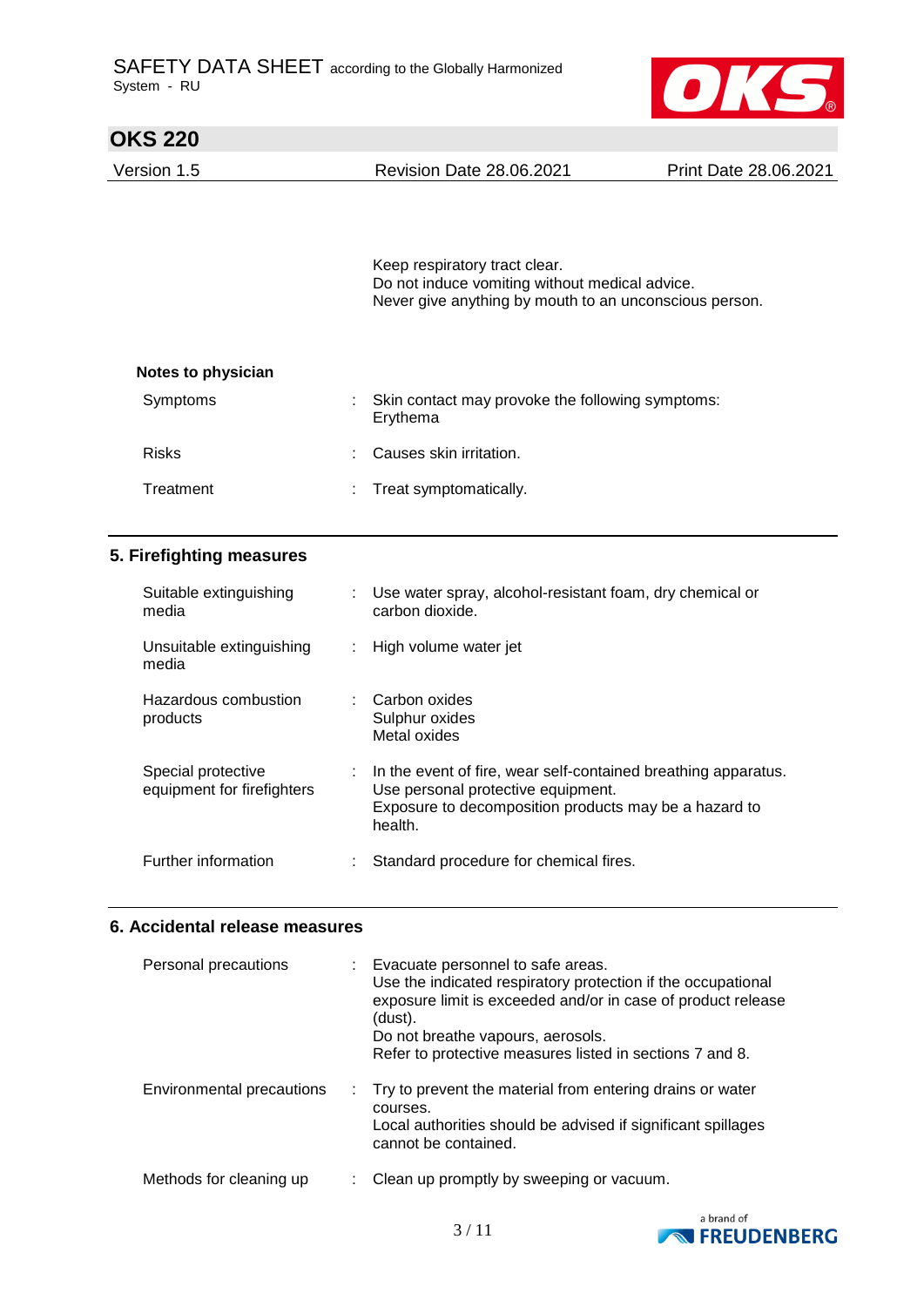

| <b>OKS 220</b>     |                                                                                                                                           |                              |
|--------------------|-------------------------------------------------------------------------------------------------------------------------------------------|------------------------------|
| Version 1.5        | <b>Revision Date 28.06.2021</b>                                                                                                           | <b>Print Date 28.06.2021</b> |
|                    | Keep respiratory tract clear.<br>Do not induce vomiting without medical advice.<br>Never give anything by mouth to an unconscious person. |                              |
| Notes to physician |                                                                                                                                           |                              |
| Symptoms           | Skin contact may provoke the following symptoms:<br>Erythema                                                                              |                              |
| <b>Risks</b>       | Causes skin irritation.<br>÷                                                                                                              |                              |
| Treatment          | Treat symptomatically.                                                                                                                    |                              |

## **5. Firefighting measures**

| Suitable extinguishing<br>media                  |   | Use water spray, alcohol-resistant foam, dry chemical or<br>carbon dioxide.                                                                                              |
|--------------------------------------------------|---|--------------------------------------------------------------------------------------------------------------------------------------------------------------------------|
| Unsuitable extinguishing<br>media                | ÷ | High volume water jet                                                                                                                                                    |
| Hazardous combustion<br>products                 |   | Carbon oxides<br>Sulphur oxides<br>Metal oxides                                                                                                                          |
| Special protective<br>equipment for firefighters |   | In the event of fire, wear self-contained breathing apparatus.<br>Use personal protective equipment.<br>Exposure to decomposition products may be a hazard to<br>health. |
| Further information                              | ÷ | Standard procedure for chemical fires.                                                                                                                                   |

# **6. Accidental release measures**

| Personal precautions      | : Evacuate personnel to safe areas.<br>Use the indicated respiratory protection if the occupational<br>exposure limit is exceeded and/or in case of product release<br>(dust).<br>Do not breathe vapours, aerosols.<br>Refer to protective measures listed in sections 7 and 8. |
|---------------------------|---------------------------------------------------------------------------------------------------------------------------------------------------------------------------------------------------------------------------------------------------------------------------------|
| Environmental precautions | : Try to prevent the material from entering drains or water<br>courses.<br>Local authorities should be advised if significant spillages<br>cannot be contained.                                                                                                                 |
| Methods for cleaning up   | Clean up promptly by sweeping or vacuum.                                                                                                                                                                                                                                        |

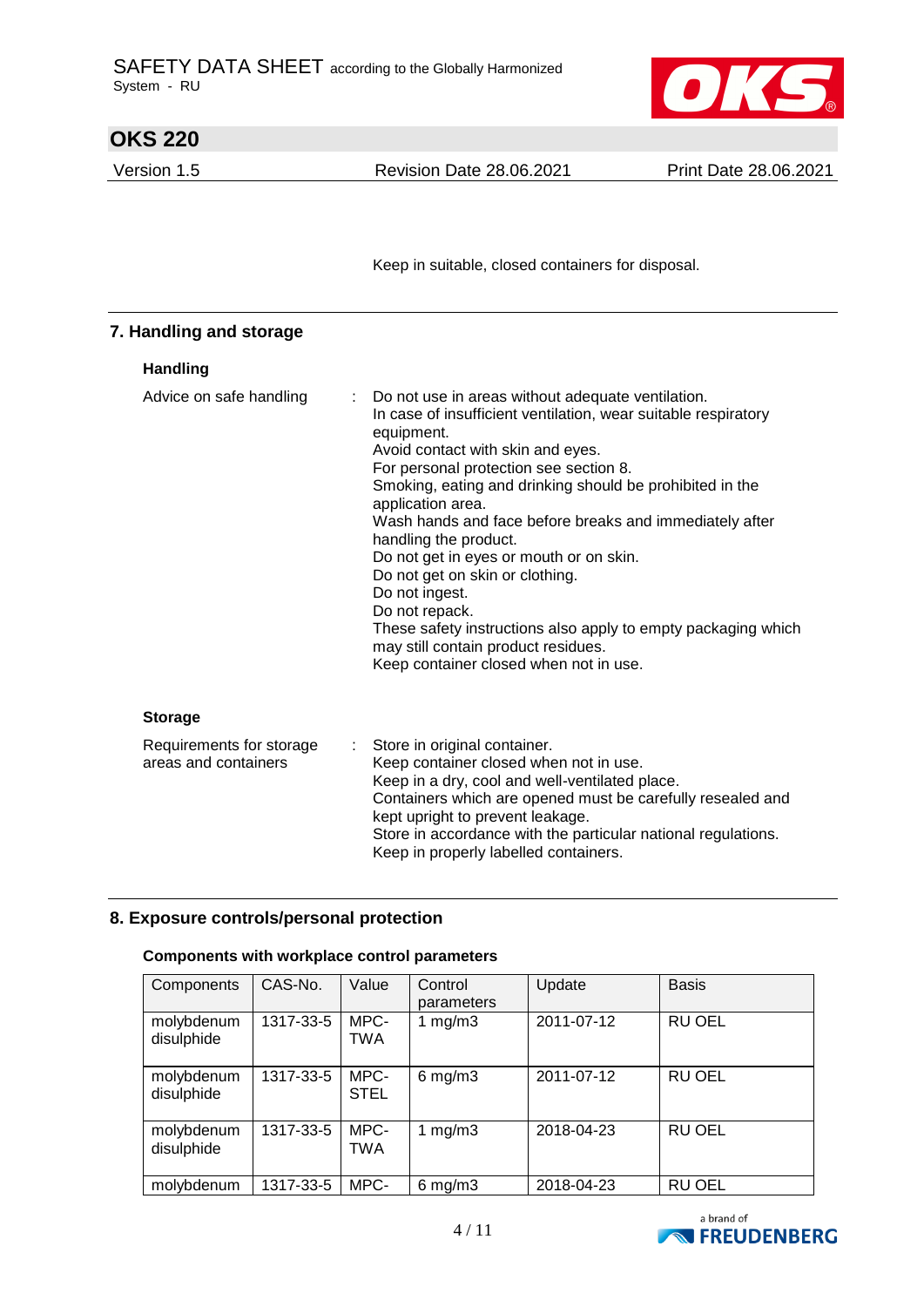

| <b>OKS 220</b>                                   |                                                                                                                                                                                                                                                                                                                                                                                                                                                                                                                                                                                                                                                           |                              |
|--------------------------------------------------|-----------------------------------------------------------------------------------------------------------------------------------------------------------------------------------------------------------------------------------------------------------------------------------------------------------------------------------------------------------------------------------------------------------------------------------------------------------------------------------------------------------------------------------------------------------------------------------------------------------------------------------------------------------|------------------------------|
| Version 1.5                                      | <b>Revision Date 28.06.2021</b>                                                                                                                                                                                                                                                                                                                                                                                                                                                                                                                                                                                                                           | <b>Print Date 28.06.2021</b> |
|                                                  |                                                                                                                                                                                                                                                                                                                                                                                                                                                                                                                                                                                                                                                           |                              |
|                                                  | Keep in suitable, closed containers for disposal.                                                                                                                                                                                                                                                                                                                                                                                                                                                                                                                                                                                                         |                              |
| 7. Handling and storage                          |                                                                                                                                                                                                                                                                                                                                                                                                                                                                                                                                                                                                                                                           |                              |
| Handling                                         |                                                                                                                                                                                                                                                                                                                                                                                                                                                                                                                                                                                                                                                           |                              |
| Advice on safe handling                          | Do not use in areas without adequate ventilation.<br>In case of insufficient ventilation, wear suitable respiratory<br>equipment.<br>Avoid contact with skin and eyes.<br>For personal protection see section 8.<br>Smoking, eating and drinking should be prohibited in the<br>application area.<br>Wash hands and face before breaks and immediately after<br>handling the product.<br>Do not get in eyes or mouth or on skin.<br>Do not get on skin or clothing.<br>Do not ingest.<br>Do not repack.<br>These safety instructions also apply to empty packaging which<br>may still contain product residues.<br>Keep container closed when not in use. |                              |
| <b>Storage</b>                                   |                                                                                                                                                                                                                                                                                                                                                                                                                                                                                                                                                                                                                                                           |                              |
| Requirements for storage<br>areas and containers | ÷.<br>Store in original container.<br>Keep container closed when not in use.<br>Keep in a dry, cool and well-ventilated place.<br>Containers which are opened must be carefully resealed and<br>kept upright to prevent leakage.<br>Store in accordance with the particular national regulations.                                                                                                                                                                                                                                                                                                                                                         |                              |

# **8. Exposure controls/personal protection**

## **Components with workplace control parameters**

| Components               | CAS-No.   | Value               | Control<br>parameters | Update     | <b>Basis</b>  |
|--------------------------|-----------|---------------------|-----------------------|------------|---------------|
| molybdenum<br>disulphide | 1317-33-5 | MPC-<br><b>TWA</b>  | 1 $mg/m3$             | 2011-07-12 | <b>RU OEL</b> |
| molybdenum<br>disulphide | 1317-33-5 | MPC-<br><b>STEL</b> | $6$ mg/m $3$          | 2011-07-12 | <b>RU OEL</b> |
| molybdenum<br>disulphide | 1317-33-5 | MPC-<br><b>TWA</b>  | 1 $mg/m3$             | 2018-04-23 | <b>RU OEL</b> |
| molybdenum               | 1317-33-5 | MPC-                | $6$ mg/m $3$          | 2018-04-23 | <b>RU OEL</b> |

Keep in properly labelled containers.

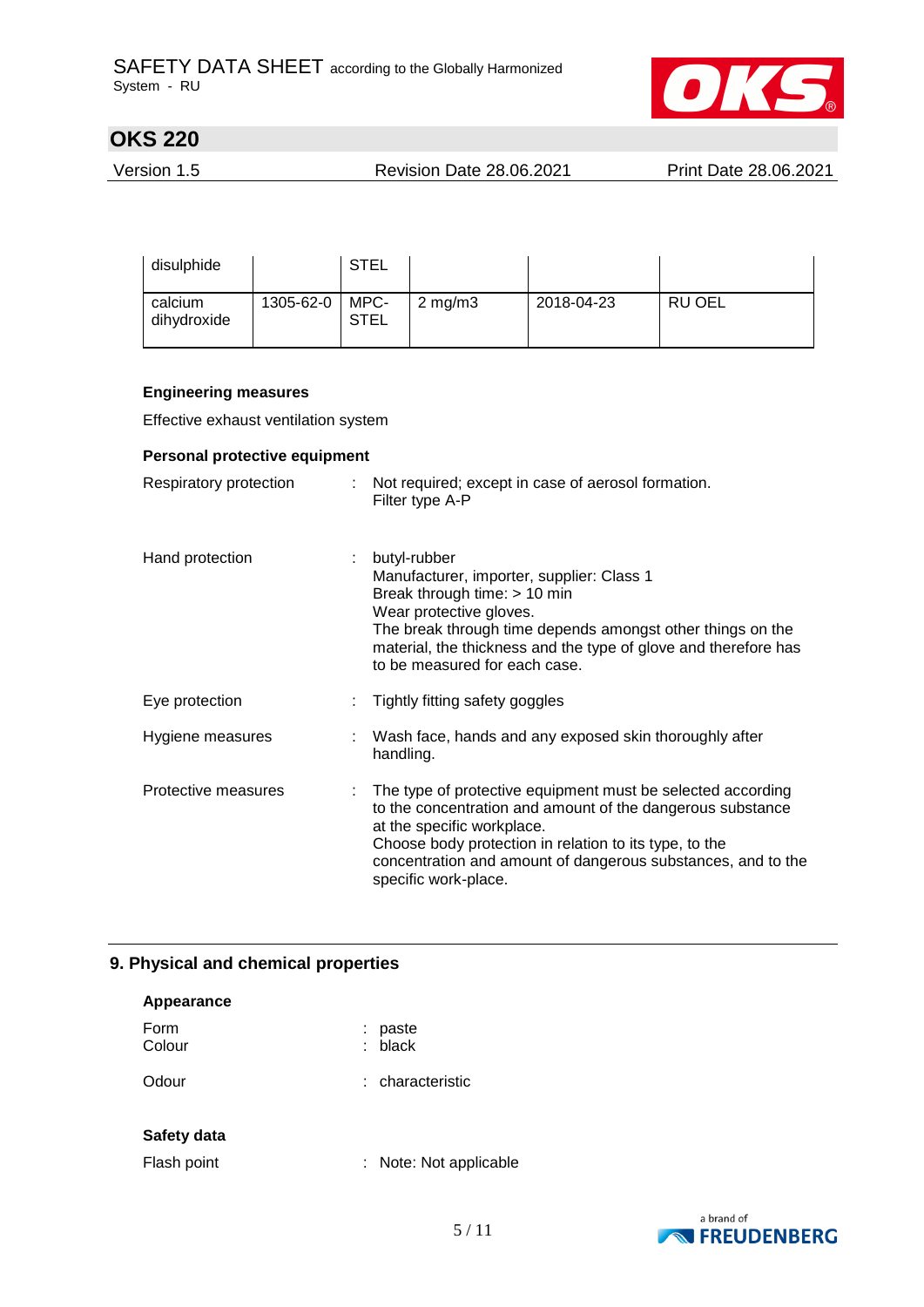

Version 1.5 Revision Date 28.06.2021 Print Date 28.06.2021

| disulphide             |           | <b>STEL</b>         |                  |            |               |
|------------------------|-----------|---------------------|------------------|------------|---------------|
| calcium<br>dihydroxide | 1305-62-0 | MPC-<br><b>STEL</b> | $2 \text{ mg/m}$ | 2018-04-23 | <b>RU OEL</b> |

#### **Engineering measures**

Effective exhaust ventilation system

#### **Personal protective equipment**

| Respiratory protection |    | Not required; except in case of aerosol formation.<br>Filter type A-P                                                                                                                                                                                                                                       |
|------------------------|----|-------------------------------------------------------------------------------------------------------------------------------------------------------------------------------------------------------------------------------------------------------------------------------------------------------------|
| Hand protection        | t. | butyl-rubber<br>Manufacturer, importer, supplier: Class 1<br>Break through time: $> 10$ min<br>Wear protective gloves.<br>The break through time depends amongst other things on the<br>material, the thickness and the type of glove and therefore has<br>to be measured for each case.                    |
| Eye protection         |    | Tightly fitting safety goggles                                                                                                                                                                                                                                                                              |
| Hygiene measures       |    | Wash face, hands and any exposed skin thoroughly after<br>handling.                                                                                                                                                                                                                                         |
| Protective measures    |    | : The type of protective equipment must be selected according<br>to the concentration and amount of the dangerous substance<br>at the specific workplace.<br>Choose body protection in relation to its type, to the<br>concentration and amount of dangerous substances, and to the<br>specific work-place. |

## **9. Physical and chemical properties**

| Appearance     |    |                        |
|----------------|----|------------------------|
| Form<br>Colour | ÷. | paste<br>$:$ black     |
| Odour          |    | : characteristic       |
| Safety data    |    |                        |
| Flash point    |    | : Note: Not applicable |

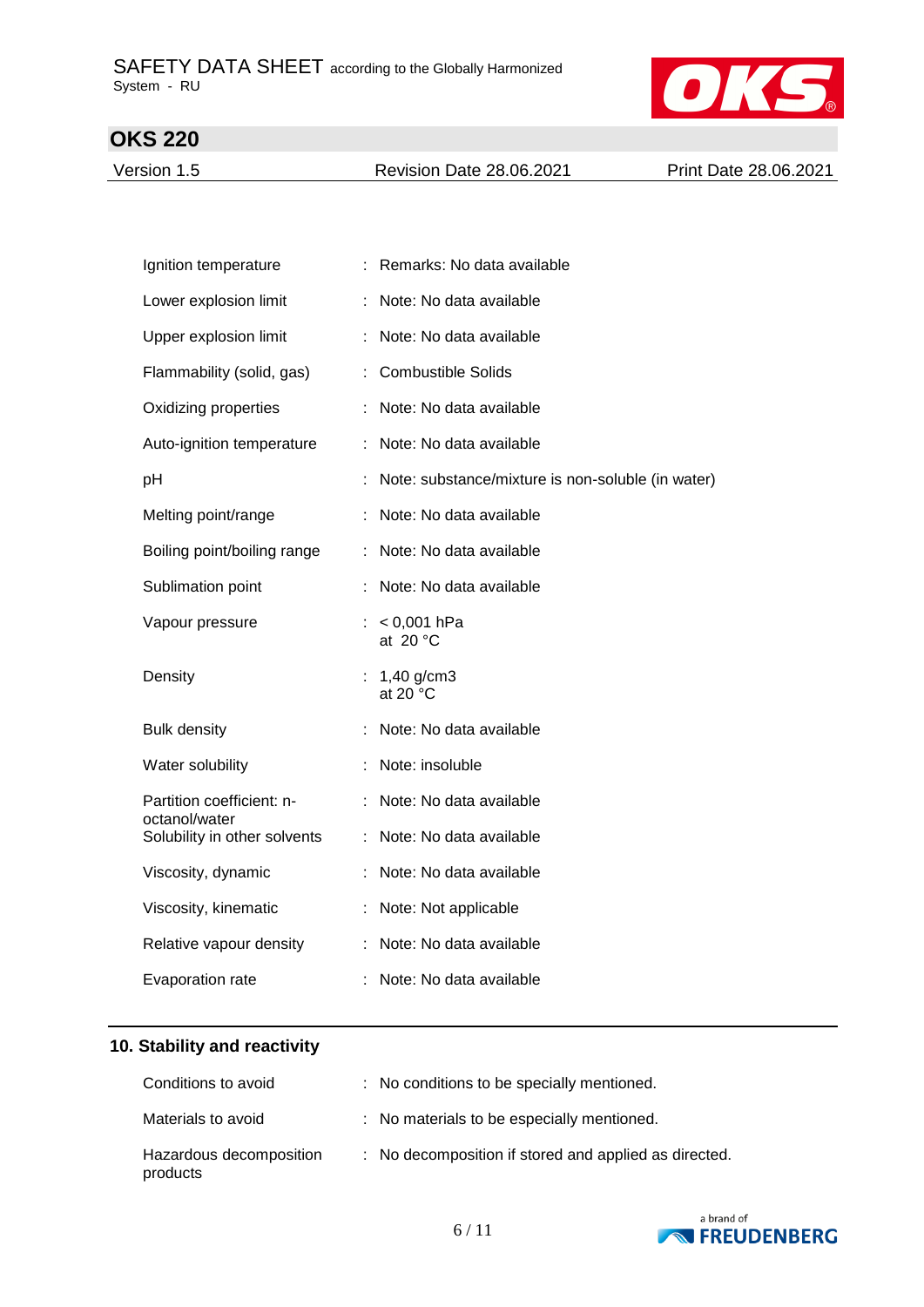

Version 1.5 Revision Date 28.06.2021 Print Date 28.06.2021

| Ignition temperature                       | Remarks: No data available                        |
|--------------------------------------------|---------------------------------------------------|
| Lower explosion limit                      | Note: No data available                           |
| Upper explosion limit                      | Note: No data available                           |
| Flammability (solid, gas)                  | <b>Combustible Solids</b>                         |
| Oxidizing properties                       | Note: No data available                           |
| Auto-ignition temperature                  | : Note: No data available                         |
| pH                                         | Note: substance/mixture is non-soluble (in water) |
| Melting point/range                        | Note: No data available                           |
| Boiling point/boiling range                | Note: No data available                           |
| Sublimation point                          | Note: No data available                           |
| Vapour pressure                            | $< 0,001$ hPa<br>at $20 °C$                       |
| Density                                    | $1,40$ g/cm $3$<br>at 20 $\degree$ C              |
| <b>Bulk density</b>                        | Note: No data available                           |
| Water solubility                           | Note: insoluble                                   |
| Partition coefficient: n-<br>octanol/water | Note: No data available                           |
| Solubility in other solvents               | : Note: No data available                         |
| Viscosity, dynamic                         | Note: No data available                           |
| Viscosity, kinematic                       | Note: Not applicable                              |
| Relative vapour density                    | : Note: No data available                         |
| Evaporation rate                           | Note: No data available                           |

# **10. Stability and reactivity**

| Conditions to avoid                 | : No conditions to be specially mentioned.            |
|-------------------------------------|-------------------------------------------------------|
| Materials to avoid                  | : No materials to be especially mentioned.            |
| Hazardous decomposition<br>products | : No decomposition if stored and applied as directed. |

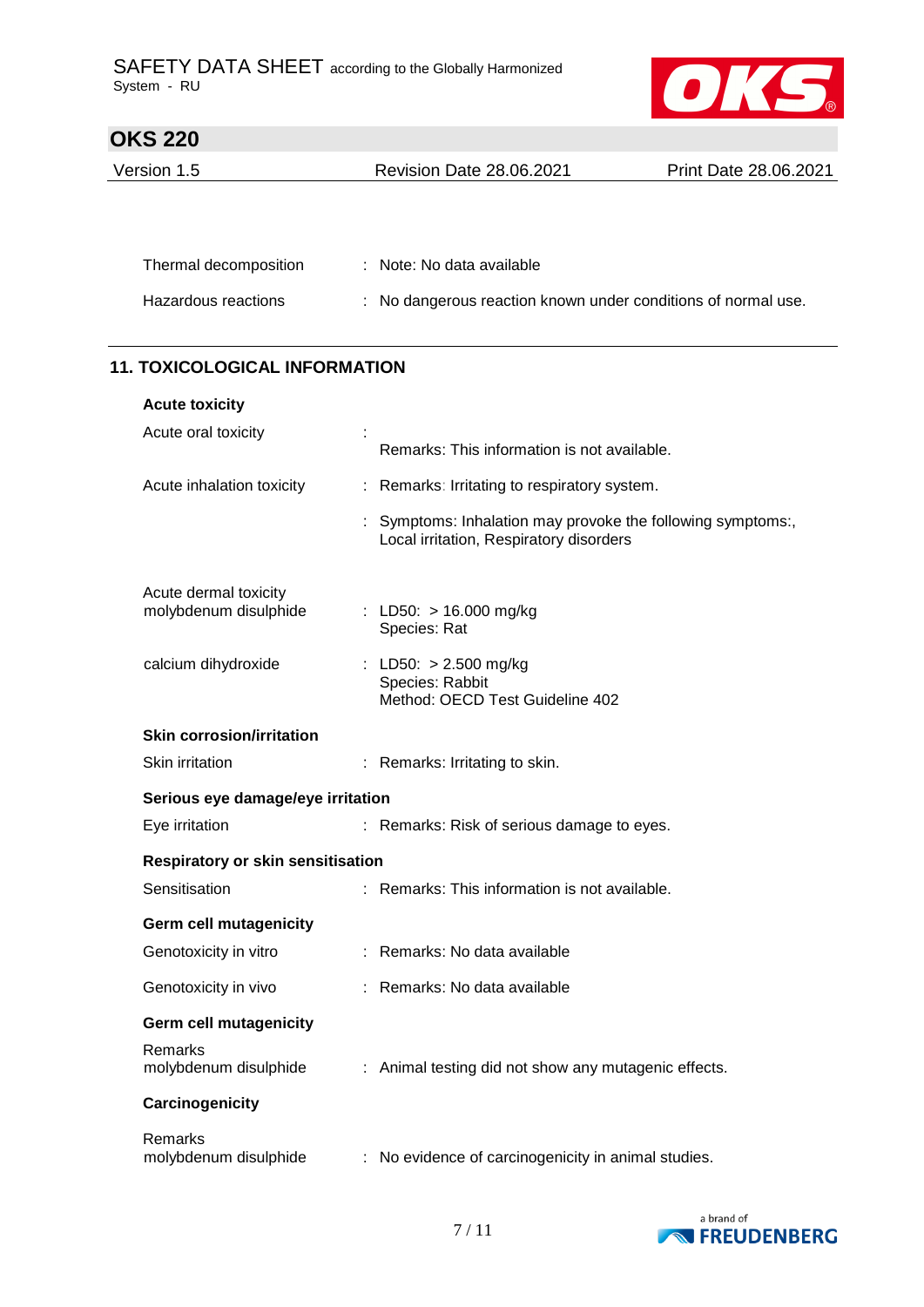

| Version 1.5 | <b>Revision Date 28.06.2021</b> | Print Date 28.06.2021 |
|-------------|---------------------------------|-----------------------|
|             |                                 |                       |

| Thermal decomposition | : Note: No data available                                     |
|-----------------------|---------------------------------------------------------------|
| Hazardous reactions   | : No dangerous reaction known under conditions of normal use. |

## **11. TOXICOLOGICAL INFORMATION**

| <b>Acute toxicity</b>                          |                                   |                                                                                                      |  |  |
|------------------------------------------------|-----------------------------------|------------------------------------------------------------------------------------------------------|--|--|
| Acute oral toxicity                            |                                   | Remarks: This information is not available.                                                          |  |  |
| Acute inhalation toxicity                      |                                   | Remarks: Irritating to respiratory system.                                                           |  |  |
|                                                |                                   | Symptoms: Inhalation may provoke the following symptoms:,<br>Local irritation, Respiratory disorders |  |  |
| Acute dermal toxicity<br>molybdenum disulphide |                                   | : LD50: > 16.000 mg/kg<br>Species: Rat                                                               |  |  |
| calcium dihydroxide                            |                                   | : LD50: > 2.500 mg/kg<br>Species: Rabbit<br>Method: OECD Test Guideline 402                          |  |  |
| <b>Skin corrosion/irritation</b>               |                                   |                                                                                                      |  |  |
| Skin irritation                                |                                   | : Remarks: Irritating to skin.                                                                       |  |  |
|                                                | Serious eye damage/eye irritation |                                                                                                      |  |  |
| Eye irritation                                 |                                   | : Remarks: Risk of serious damage to eyes.                                                           |  |  |
| Respiratory or skin sensitisation              |                                   |                                                                                                      |  |  |
| Sensitisation                                  |                                   | : Remarks: This information is not available.                                                        |  |  |
| <b>Germ cell mutagenicity</b>                  |                                   |                                                                                                      |  |  |
| Genotoxicity in vitro                          |                                   | : Remarks: No data available                                                                         |  |  |
| Genotoxicity in vivo                           |                                   | : Remarks: No data available                                                                         |  |  |
| <b>Germ cell mutagenicity</b>                  |                                   |                                                                                                      |  |  |
| Remarks<br>molybdenum disulphide               |                                   | : Animal testing did not show any mutagenic effects.                                                 |  |  |
| Carcinogenicity                                |                                   |                                                                                                      |  |  |
| Remarks<br>molybdenum disulphide               |                                   | : No evidence of carcinogenicity in animal studies.                                                  |  |  |

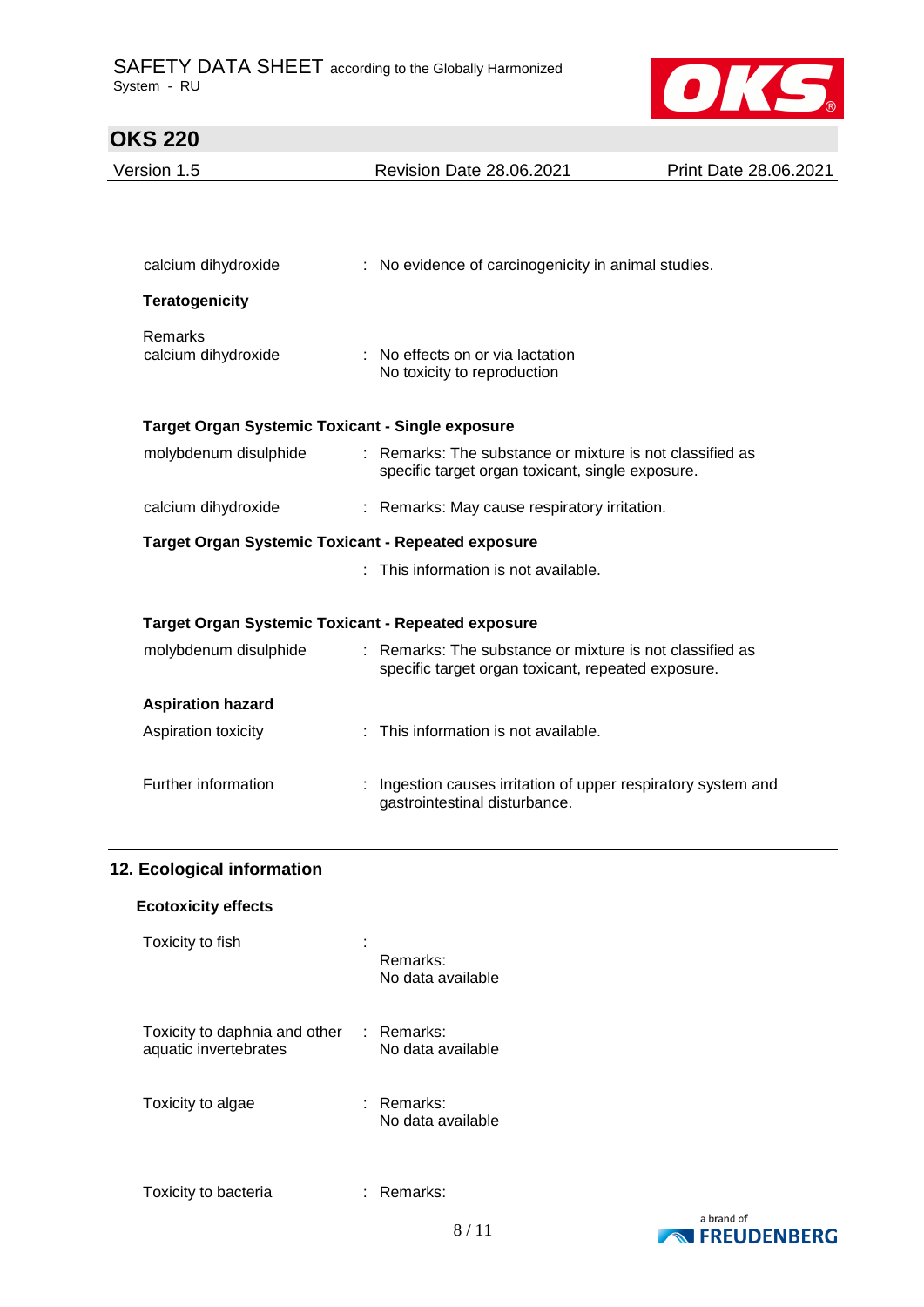

# **OKS 220**  Version 1.5 Revision Date 28.06.2021 Print Date 28.06.2021 calcium dihydroxide : No evidence of carcinogenicity in animal studies. **Teratogenicity** Remarks calcium dihydroxide : No effects on or via lactation No toxicity to reproduction **Target Organ Systemic Toxicant - Single exposure** molybdenum disulphide : Remarks: The substance or mixture is not classified as specific target organ toxicant, single exposure. calcium dihydroxide : Remarks: May cause respiratory irritation. **Target Organ Systemic Toxicant - Repeated exposure** : This information is not available. **Target Organ Systemic Toxicant - Repeated exposure** molybdenum disulphide : Remarks: The substance or mixture is not classified as specific target organ toxicant, repeated exposure. **Aspiration hazard** Aspiration toxicity : This information is not available. Further information : Ingestion causes irritation of upper respiratory system and gastrointestinal disturbance.

#### **12. Ecological information**

#### **Ecotoxicity effects**

| Toxicity to fish                                       | Remarks:<br>No data available   |  |
|--------------------------------------------------------|---------------------------------|--|
| Toxicity to daphnia and other<br>aquatic invertebrates | : Remarks:<br>No data available |  |
| Toxicity to algae                                      | ∶ Remarks:<br>No data available |  |
| Toxicity to bacteria                                   | Remarks:                        |  |

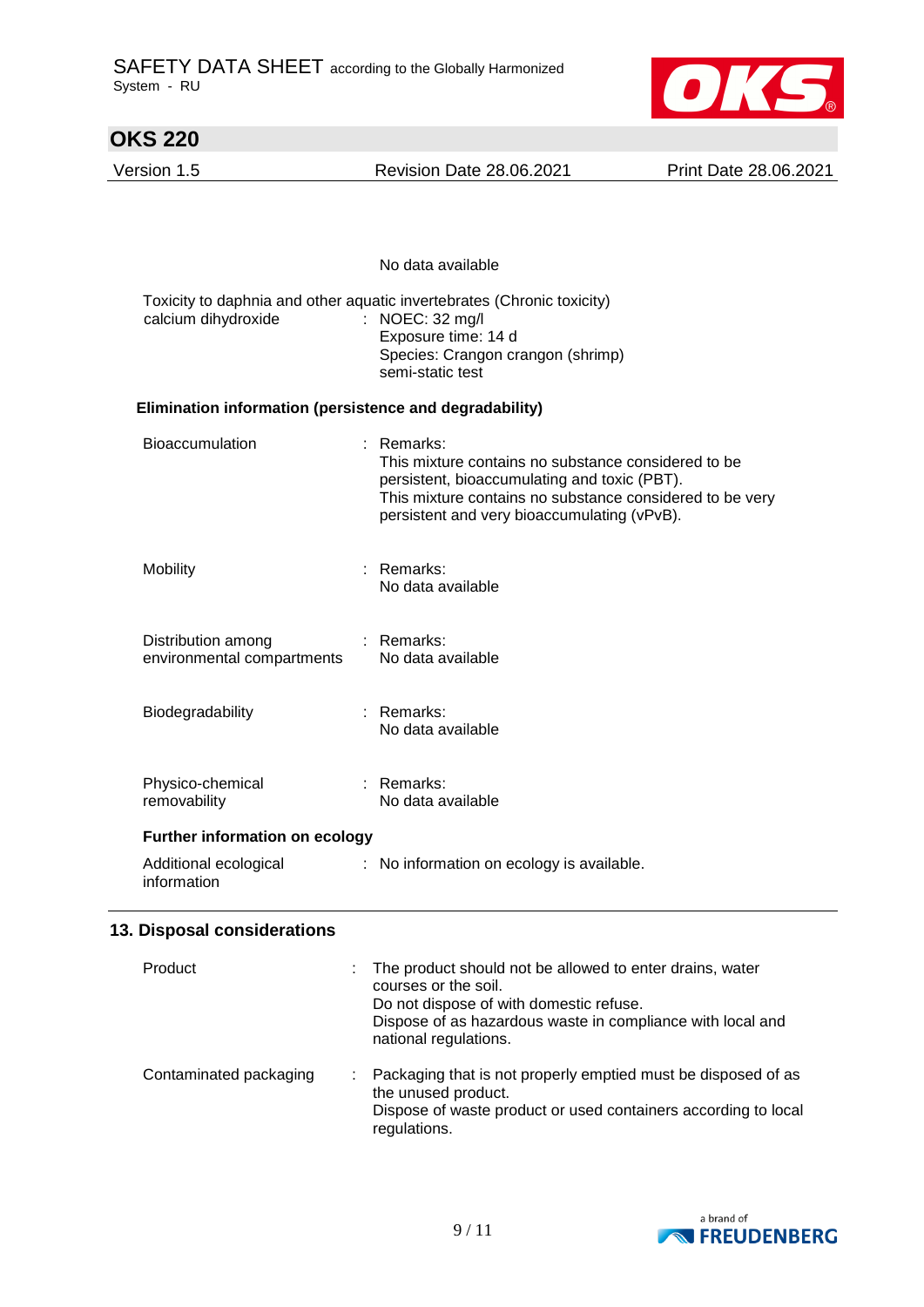

| <b>OKS 220</b>                                          |                                                                                                                                                                                                                              |                       |  |  |
|---------------------------------------------------------|------------------------------------------------------------------------------------------------------------------------------------------------------------------------------------------------------------------------------|-----------------------|--|--|
| Version 1.5                                             | <b>Revision Date 28.06.2021</b>                                                                                                                                                                                              | Print Date 28.06.2021 |  |  |
|                                                         |                                                                                                                                                                                                                              |                       |  |  |
|                                                         | No data available                                                                                                                                                                                                            |                       |  |  |
| calcium dihydroxide                                     | Toxicity to daphnia and other aquatic invertebrates (Chronic toxicity)<br>: NOEC: 32 mg/l<br>Exposure time: 14 d<br>Species: Crangon crangon (shrimp)<br>semi-static test                                                    |                       |  |  |
| Elimination information (persistence and degradability) |                                                                                                                                                                                                                              |                       |  |  |
| <b>Bioaccumulation</b>                                  | : Remarks:<br>This mixture contains no substance considered to be<br>persistent, bioaccumulating and toxic (PBT).<br>This mixture contains no substance considered to be very<br>persistent and very bioaccumulating (vPvB). |                       |  |  |
| Mobility                                                | Remarks:<br>÷<br>No data available                                                                                                                                                                                           |                       |  |  |
| Distribution among<br>environmental compartments        | $:$ Remarks:<br>No data available                                                                                                                                                                                            |                       |  |  |
| Biodegradability                                        | $:$ Remarks:<br>No data available                                                                                                                                                                                            |                       |  |  |
| Physico-chemical<br>removability                        | : Remarks:<br>No data available                                                                                                                                                                                              |                       |  |  |
| <b>Further information on ecology</b>                   |                                                                                                                                                                                                                              |                       |  |  |
| Additional ecological<br>information                    | : No information on ecology is available.                                                                                                                                                                                    |                       |  |  |
| 13. Disposal considerations                             |                                                                                                                                                                                                                              |                       |  |  |
| Product                                                 | The product should not be allowed to enter drains, water<br>courses or the soil.<br>Do not dispose of with domestic refuse.<br>Dispose of as hazardous waste in compliance with local and<br>national regulations.           |                       |  |  |
| Contaminated packaging                                  | Packaging that is not properly emptied must be disposed of as<br>the unused product.                                                                                                                                         |                       |  |  |

Dispose of waste product or used containers according to local regulations.

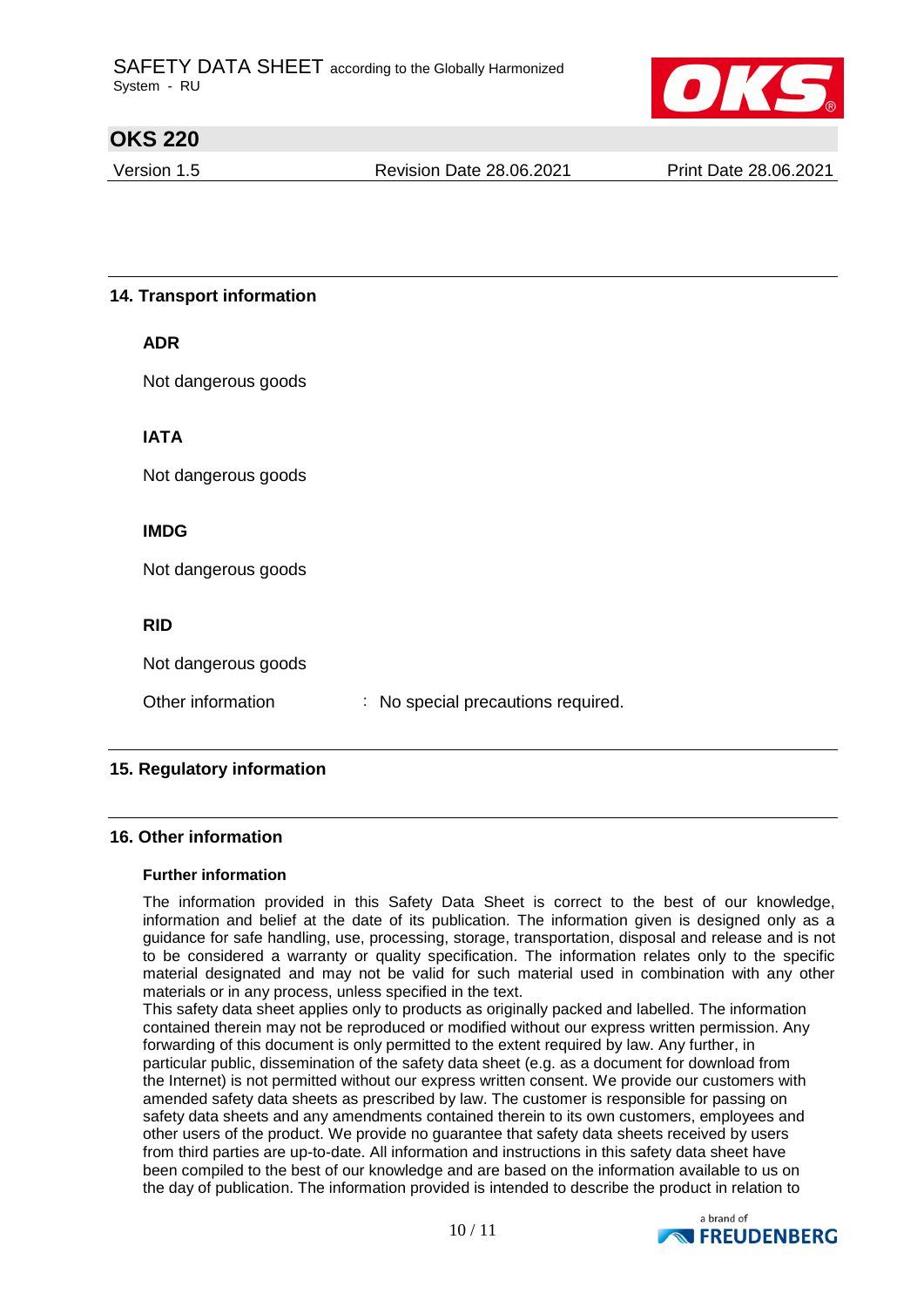

Version 1.5 **Revision Date 28.06.2021** Print Date 28.06.2021

## **14. Transport information**

Not dangerous goods

**IATA**

Not dangerous goods

## **IMDG**

Not dangerous goods

## **RID**

Not dangerous goods

Other information : No special precautions required.

# **15. Regulatory information**

## **16. Other information**

#### **Further information**

The information provided in this Safety Data Sheet is correct to the best of our knowledge, information and belief at the date of its publication. The information given is designed only as a guidance for safe handling, use, processing, storage, transportation, disposal and release and is not to be considered a warranty or quality specification. The information relates only to the specific material designated and may not be valid for such material used in combination with any other materials or in any process, unless specified in the text.

This safety data sheet applies only to products as originally packed and labelled. The information contained therein may not be reproduced or modified without our express written permission. Any forwarding of this document is only permitted to the extent required by law. Any further, in particular public, dissemination of the safety data sheet (e.g. as a document for download from the Internet) is not permitted without our express written consent. We provide our customers with amended safety data sheets as prescribed by law. The customer is responsible for passing on safety data sheets and any amendments contained therein to its own customers, employees and other users of the product. We provide no guarantee that safety data sheets received by users from third parties are up-to-date. All information and instructions in this safety data sheet have been compiled to the best of our knowledge and are based on the information available to us on the day of publication. The information provided is intended to describe the product in relation to